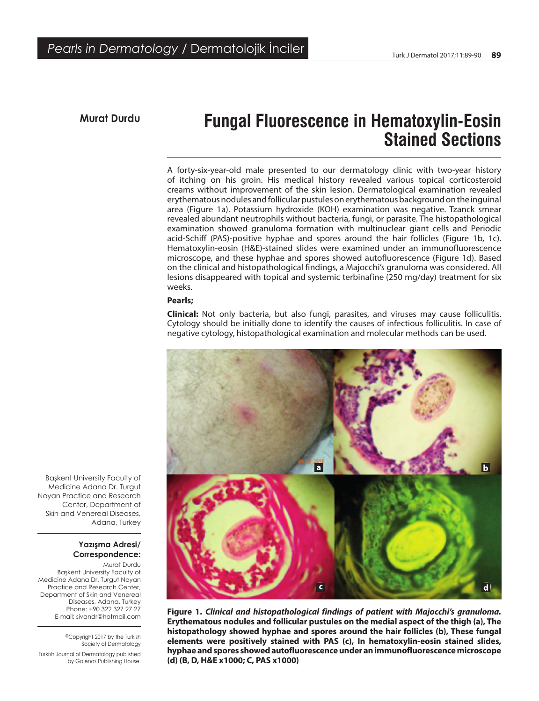## **Murat Durdu Fungal Fluorescence in Hematoxylin-Eosin Stained Sections**

A forty-six-year-old male presented to our dermatology clinic with two-year history of itching on his groin. His medical history revealed various topical corticosteroid creams without improvement of the skin lesion. Dermatological examination revealed erythematous nodules and follicular pustules on erythematous background on the inguinal area (Figure 1a). Potassium hydroxide (KOH) examination was negative. Tzanck smear revealed abundant neutrophils without bacteria, fungi, or parasite. The histopathological examination showed granuloma formation with multinuclear giant cells and Periodic acid-Schiff (PAS)-positive hyphae and spores around the hair follicles (Figure 1b, 1c). Hematoxylin-eosin (H&E)-stained slides were examined under an immunofluorescence microscope, and these hyphae and spores showed autofluorescence (Figure 1d). Based on the clinical and histopathological findings, a Majocchi's granuloma was considered. All lesions disappeared with topical and systemic terbinafine (250 mg/day) treatment for six weeks.

### **Pearls;**

**Clinical:** Not only bacteria, but also fungi, parasites, and viruses may cause folliculitis. Cytology should be initially done to identify the causes of infectious folliculitis. In case of negative cytology, histopathological examination and molecular methods can be used.



**Figure 1.** *Clinical and histopathological findings of patient with Majocchi's granuloma.* **Erythematous nodules and follicular pustules on the medial aspect of the thigh (a), The histopathology showed hyphae and spores around the hair follicles (b), These fungal elements were positively stained with PAS (c), In hematoxylin-eosin stained slides, hyphae and spores showed autofluorescence under an immunofluorescence microscope (d) (B, D, H&E x1000; C, PAS x1000)**

Başkent University Faculty of Medicine Adana Dr. Turgut Noyan Practice and Research Center, Department of Skin and Venereal Diseases, Adana, Turkey

### **Yazışma Adresi/ Correspondence:**

Murat Durdu Başkent University Faculty of Medicine Adana Dr. Turgut Noyan Practice and Research Center, Department of Skin and Venereal Diseases, Adana, Turkey Phone: +90 322 327 27 27 E-mail: sivandr@hotmail.com

> ©Copyright 2017 by the Turkish Society of Dermatology

Turkish Journal of Dermatology published by Galenos Publishing House.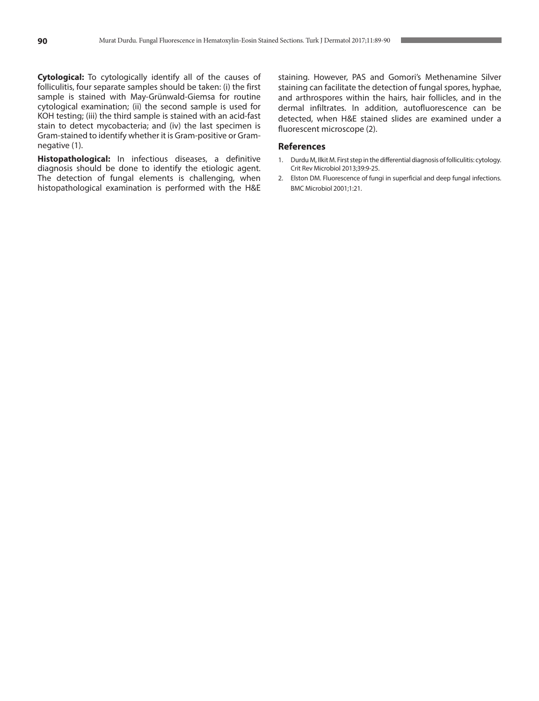**Cytological:** To cytologically identify all of the causes of folliculitis, four separate samples should be taken: (i) the first sample is stained with May-Grünwald-Giemsa for routine cytological examination; (ii) the second sample is used for KOH testing; (iii) the third sample is stained with an acid-fast stain to detect mycobacteria; and (iv) the last specimen is Gram-stained to identify whether it is Gram-positive or Gramnegative (1).

**Histopathological:** In infectious diseases, a definitive diagnosis should be done to identify the etiologic agent. The detection of fungal elements is challenging, when histopathological examination is performed with the H&E staining. However, PAS and Gomori's Methenamine Silver staining can facilitate the detection of fungal spores, hyphae, and arthrospores within the hairs, hair follicles, and in the dermal infiltrates. In addition, autofluorescence can be detected, when H&E stained slides are examined under a fluorescent microscope (2).

#### **References**

- 1. Durdu M, Ilkit M. First step in the differential diagnosis of folliculitis: cytology. Crit Rev Microbiol 2013;39:9-25.
- 2. Elston DM. Fluorescence of fungi in superficial and deep fungal infections. BMC Microbiol 2001;1:21.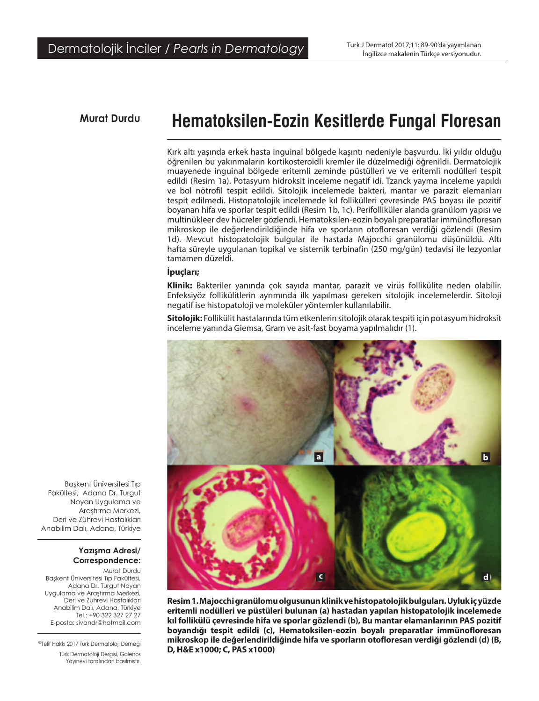# **Murat Durdu Hematoksilen-Eozin Kesitlerde Fungal Floresan**

Kırk altı yaşında erkek hasta inguinal bölgede kaşıntı nedeniyle başvurdu. İki yıldır olduğu öğrenilen bu yakınmaların kortikosteroidli kremler ile düzelmediği öğrenildi. Dermatolojik muayenede inguinal bölgede eritemli zeminde püstülleri ve ve eritemli nodülleri tespit edildi (Resim 1a). Potasyum hidroksit inceleme negatif idi. Tzanck yayma inceleme yapıldı ve bol nötrofil tespit edildi. Sitolojik incelemede bakteri, mantar ve parazit elemanları tespit edilmedi. Histopatolojik incelemede kıl follikülleri çevresinde PAS boyası ile pozitif boyanan hifa ve sporlar tespit edildi (Resim 1b, 1c). Perifolliküler alanda granülom yapısı ve multinükleer dev hücreler gözlendi. Hematoksilen-eozin boyalı preparatlar immünofloresan mikroskop ile değerlendirildiğinde hifa ve sporların otofloresan verdiği gözlendi (Resim 1d). Mevcut histopatolojik bulgular ile hastada Majocchi granülomu düşünüldü. Altı hafta süreyle uygulanan topikal ve sistemik terbinafin (250 mg/gün) tedavisi ile lezyonlar tamamen düzeldi.

### **İpuçları;**

**Klinik:** Bakteriler yanında çok sayıda mantar, parazit ve virüs follikülite neden olabilir. Enfeksiyöz follikülitlerin ayrımında ilk yapılması gereken sitolojik incelemelerdir. Sitoloji negatif ise histopatoloji ve moleküler yöntemler kullanılabilir.

**Sitolojik:** Follikülit hastalarında tüm etkenlerin sitolojik olarak tespiti için potasyum hidroksit inceleme yanında Giemsa, Gram ve asit-fast boyama yapılmalıdır (1).



**Resim 1. Majocchi granülomu olgusunun klinik ve histopatolojik bulguları. Uyluk iç yüzde eritemli nodülleri ve püstüleri bulunan (a) hastadan yapılan histopatolojik incelemede kıl follikülü çevresinde hifa ve sporlar gözlendi (b), Bu mantar elamanlarının PAS pozitif boyandığı tespit edildi (c), Hematoksilen-eozin boyalı preparatlar immünofloresan mikroskop ile değerlendirildiğinde hifa ve sporların otofloresan verdiği gözlendi (d) (B, D, H&E x1000; C, PAS x1000)**

Başkent Üniversitesi Tıp Fakültesi, Adana Dr. Turgut Noyan Uygulama ve Araştırma Merkezi, Deri ve Zührevi Hastalıkları Anabilim Dalı, Adana, Türkiye

#### **Yazışma Adresi/ Correspondence:**

Murat Durdu Başkent Üniversitesi Tıp Fakültesi, Adana Dr. Turgut Noyan Uygulama ve Araştırma Merkezi, Deri ve Zührevi Hastalıkları Anabilim Dalı, Adana, Türkiye Tel.: +90 322 327 27 27 E-posta: sivandr@hotmail.com

©Telif Hakkı 2017 Türk Dermatoloji Derneği

Türk Dermatoloji Dergisi, Galenos Yayınevi tarafından basılmıştır.